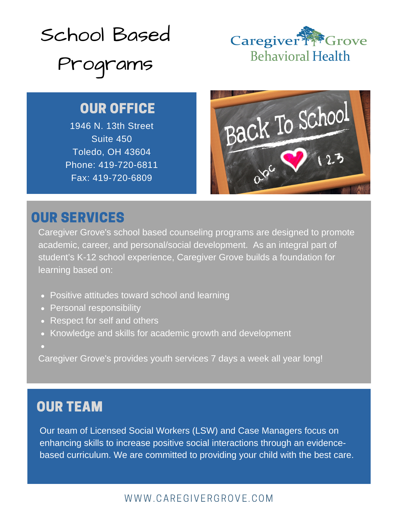



# OUR OFFICE

1946 N. 13th Street Suite 450 Toledo, OH 43604 Phone: 419-720-6811 Fax: 419-720-6809



## OUR SERVICES

Caregiver Grove's school based counseling programs are designed to promote academic, career, and personal/social development. As an integral part of student's K-12 school experience, Caregiver Grove builds a foundation for learning based on:

- Positive attitudes toward school and learning
- Personal responsibility
- Respect for self and others
- Knowledge and skills for academic growth and development
- 

Caregiver Grove's provides youth services 7 days a week all year long!

# OUR TEAM

Our team of Licensed Social Workers (LSW) and Case Managers focus on enhancing skills to increase positive social interactions through an evidencebased curriculum. We are committed to providing your child with the best care.

### WWW.CAREGIVERGROVE.COM